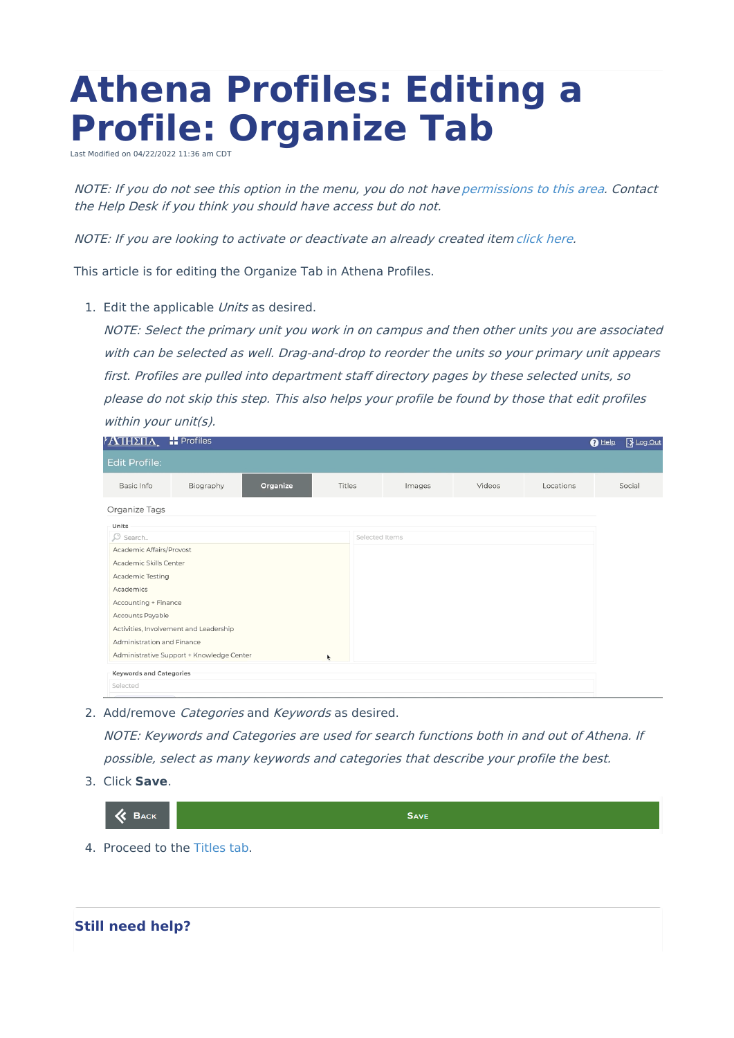## **Athena Profiles: Editing a Profile: Organize Tab**

Last Modified on 04/22/2022 11:36 am CDT

NOTE: If you do not see this option in the menu, you do not have [permissions](https://www.uwec.edu/kb/article/athena-content-hub-permissions-within-athena/) to this area. Contact the Help Desk if you think you should have access but do not.

NOTE: If you are looking to activate or deactivate an already created item [click](https://kb.uwec.edu/help/athena-universal-activate-and-deactivate) here.

This article is for editing the Organize Tab in Athena Profiles.

1. Edit the applicable Units as desired.

NOTE: Select the primary unit you work in on campus and then other units you are associated with can be selected as well. Drag-and-drop to reorder the units so your primary unit appears first. Profiles are pulled into department staff directory pages by these selected units, so please do not skip this step. This also helps your profile be found by those that edit profiles within your unit(s).

| <u>ΙΔΠΗΣΠΑ</u>                         | <b>Profiles</b>                           |          |        |                |        |        |           | <b>13</b> Log Out<br>$\bigcirc$ Help |
|----------------------------------------|-------------------------------------------|----------|--------|----------------|--------|--------|-----------|--------------------------------------|
| <b>Edit Profile:</b>                   |                                           |          |        |                |        |        |           |                                      |
| Basic Info                             | Biography                                 | Organize | Titles |                | Images | Videos | Locations | Social                               |
| Organize Tags                          |                                           |          |        |                |        |        |           |                                      |
| Units                                  |                                           |          |        |                |        |        |           |                                      |
| O Search                               |                                           |          |        | Selected Items |        |        |           |                                      |
| Academic Affairs/Provost               |                                           |          |        |                |        |        |           |                                      |
| Academic Skills Center                 |                                           |          |        |                |        |        |           |                                      |
| Academic Testing                       |                                           |          |        |                |        |        |           |                                      |
| Academics                              |                                           |          |        |                |        |        |           |                                      |
| Accounting + Finance                   |                                           |          |        |                |        |        |           |                                      |
| Accounts Payable                       |                                           |          |        |                |        |        |           |                                      |
| Activities, Involvement and Leadership |                                           |          |        |                |        |        |           |                                      |
| Administration and Finance             |                                           |          |        |                |        |        |           |                                      |
|                                        | Administrative Support + Knowledge Center |          | ۰      |                |        |        |           |                                      |
| <b>Keywords and Categories</b>         |                                           |          |        |                |        |        |           |                                      |
| Selected                               |                                           |          |        |                |        |        |           |                                      |

2. Add/remove Categories and Keywords as desired.

NOTE: Keywords and Categories are used for search functions both in and out of Athena. If possible, select as many keywords and categories that describe your profile the best.

3. Click **Save**.



4. Proceed to the [Titles](http://kb.uwec.edu/help/athena-profiles-editing-a-profile-titles-tab) tab.

**Still need help?**